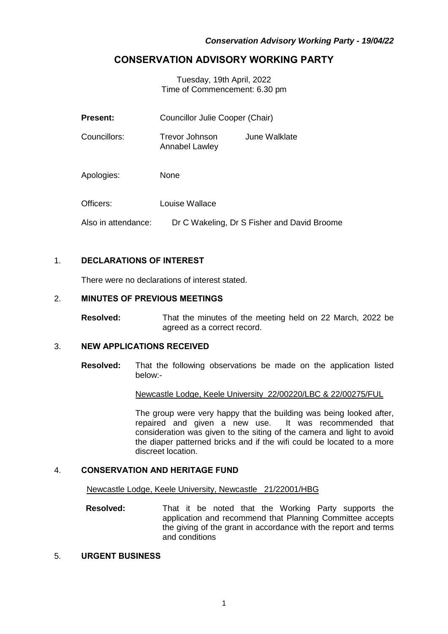## **CONSERVATION ADVISORY WORKING PARTY**

Tuesday, 19th April, 2022 Time of Commencement: 6.30 pm

| <b>Present:</b>     | Councillor Julie Cooper (Chair)             |               |
|---------------------|---------------------------------------------|---------------|
| Councillors:        | Trevor Johnson<br>Annabel Lawley            | June Walklate |
| Apologies:          | <b>None</b>                                 |               |
| Officers:           | Louise Wallace                              |               |
| Also in attendance: | Dr C Wakeling, Dr S Fisher and David Broome |               |

## 1. **DECLARATIONS OF INTEREST**

There were no declarations of interest stated.

## 2. **MINUTES OF PREVIOUS MEETINGS**

**Resolved:** That the minutes of the meeting held on 22 March, 2022 be agreed as a correct record.

## 3. **NEW APPLICATIONS RECEIVED**

**Resolved:** That the following observations be made on the application listed below:-

Newcastle Lodge, Keele University 22/00220/LBC & 22/00275/FUL

The group were very happy that the building was being looked after, repaired and given a new use. It was recommended that consideration was given to the siting of the camera and light to avoid the diaper patterned bricks and if the wifi could be located to a more discreet location.

#### 4. **CONSERVATION AND HERITAGE FUND**

Newcastle Lodge, Keele University, Newcastle 21/22001/HBG

**Resolved:** That it be noted that the Working Party supports the application and recommend that Planning Committee accepts the giving of the grant in accordance with the report and terms and conditions

## 5. **URGENT BUSINESS**